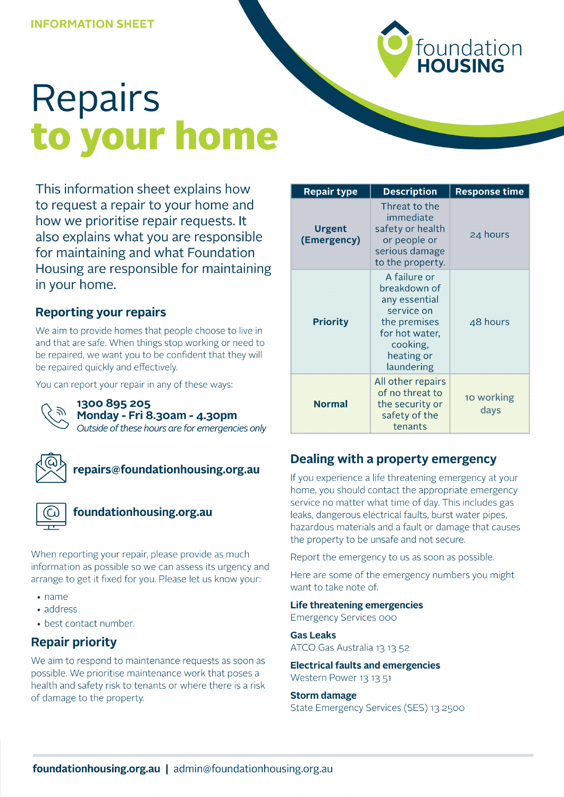

# **Repairs** to your home

This information sheet explains how to request a repair to your home and how we prioritise repair requests. It also explains what you are responsible for maintaining and what Foundation Housing are responsible for maintaining in your home.

## **Reporting your repairs**

We aim to provide homes that people choose to live in and that are safe. When things stop working or need to be repaired, we want you to be confident that they will be repaired quickly and effectively.

You can report your repair in any of these ways:



#### 1300 895 205 Monday - Fri 8.30am - 4.30pm

Outside of these hours are for emergencies only



## repairs@foundationhousing.org.au



## foundationhousing.org.au

When reporting your repair, please provide as much information as possible so we can assess its urgency and arrange to get it fixed for you. Please let us know your:

- $\cdot$  name
- address
- best contact number.

## **Repair priority**

We aim to respond to maintenance requests as soon as possible. We prioritise maintenance work that poses a health and safety risk to tenants or where there is a risk of damage to the property.

| <b>Repair type</b>           | <b>Description</b>                                                                                                                    | <b>Response time</b> |
|------------------------------|---------------------------------------------------------------------------------------------------------------------------------------|----------------------|
| <b>Urgent</b><br>(Emergency) | Threat to the<br>immediate<br>safety or health<br>or people or<br>serious damage<br>to the property.                                  | 24 hours             |
| <b>Priority</b>              | A failure or<br>breakdown of<br>any essential<br>service on<br>the premises<br>for hot water,<br>cooking,<br>heating or<br>laundering | 48 hours             |
| <b>Normal</b>                | All other repairs<br>of no threat to<br>the security or<br>safety of the<br>tenants                                                   | 10 working<br>days   |

## Dealing with a property emergency

If you experience a life threatening emergency at your home, you should contact the appropriate emergency service no matter what time of day. This includes gas leaks, dangerous electrical faults, burst water pipes, hazardous materials and a fault or damage that causes the property to be unsafe and not secure.

Report the emergency to us as soon as possible.

Here are some of the emergency numbers you might want to take note of.

#### **Life threatening emergencies**

**Emergency Services 000** 

**Gas Leaks** 

ATCO Gas Australia 13 13 52

#### **Electrical faults and emergencies** Western Power 13 13 51

#### **Storm damage**

State Emergency Services (SES) 13 2500